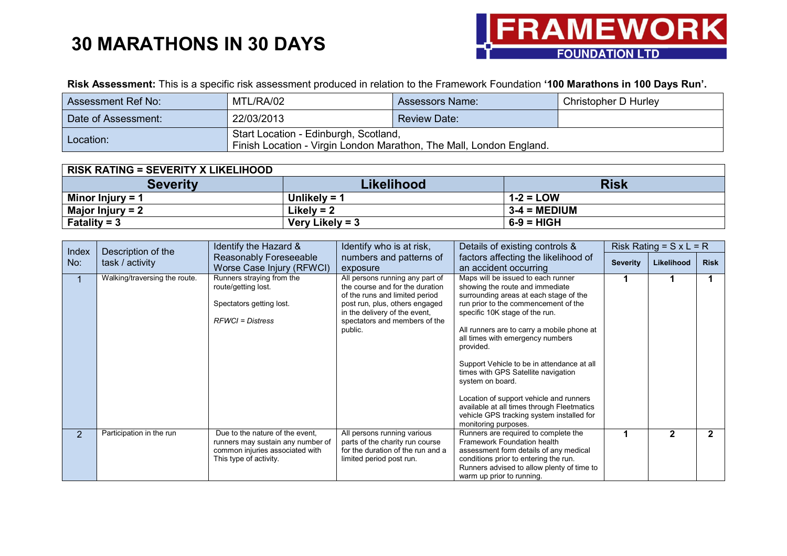

**Risk Assessment:** This is a specific risk assessment produced in relation to the Framework Foundation **'100 Marathons in 100 Days Run'.**

| Assessment Ref No:  | MTL/RA/02                                                                                                    | <b>Assessors Name:</b> | Christopher D Hurley |
|---------------------|--------------------------------------------------------------------------------------------------------------|------------------------|----------------------|
| Date of Assessment: | 22/03/2013                                                                                                   | <b>Review Date:</b>    |                      |
| Location:           | Start Location - Edinburgh, Scotland,<br>Finish Location - Virgin London Marathon, The Mall, London England. |                        |                      |

| <b>RISK RATING = SEVERITY X LIKELIHOOD</b> |                   |                       |
|--------------------------------------------|-------------------|-----------------------|
| <b>Severity</b>                            | <b>Likelihood</b> | <b>Risk</b>           |
| Minor Injury = $1$                         | Unlikely = $4$    | $1-2 = LOW$           |
| Major Injury = $2$                         | Likely = $2$      | $3-4 = \text{MEDIUM}$ |
| Fatality = $3$                             | Very Likely = $3$ | $6-9 = HIGH$          |

| Index          | Description of the            | Identify the Hazard &                                                                                                             | Identify who is at risk,                                                                                                                                                                                            | Details of existing controls &                                                                                                                                                                                                                                                                                                                                                                                                                                                                                                                                  |                 | Risk Rating = $S \times L = R$ |              |
|----------------|-------------------------------|-----------------------------------------------------------------------------------------------------------------------------------|---------------------------------------------------------------------------------------------------------------------------------------------------------------------------------------------------------------------|-----------------------------------------------------------------------------------------------------------------------------------------------------------------------------------------------------------------------------------------------------------------------------------------------------------------------------------------------------------------------------------------------------------------------------------------------------------------------------------------------------------------------------------------------------------------|-----------------|--------------------------------|--------------|
| No:            | task / activity               | Reasonably Foreseeable<br>Worse Case Injury (RFWCI)                                                                               | numbers and patterns of<br>exposure                                                                                                                                                                                 | factors affecting the likelihood of<br>an accident occurring                                                                                                                                                                                                                                                                                                                                                                                                                                                                                                    | <b>Severity</b> | Likelihood                     | <b>Risk</b>  |
|                | Walking/traversing the route. | Runners straying from the<br>route/getting lost.<br>Spectators getting lost.<br><b>RFWCI</b> = Distress                           | All persons running any part of<br>the course and for the duration<br>of the runs and limited period<br>post run, plus, others engaged<br>in the delivery of the event,<br>spectators and members of the<br>public. | Maps will be issued to each runner<br>showing the route and immediate<br>surrounding areas at each stage of the<br>run prior to the commencement of the<br>specific 10K stage of the run.<br>All runners are to carry a mobile phone at<br>all times with emergency numbers<br>provided.<br>Support Vehicle to be in attendance at all<br>times with GPS Satellite navigation<br>system on board.<br>Location of support vehicle and runners<br>available at all times through Fleetmatics<br>vehicle GPS tracking system installed for<br>monitoring purposes. |                 |                                |              |
| $\overline{2}$ | Participation in the run      | Due to the nature of the event.<br>runners may sustain any number of<br>common injuries associated with<br>This type of activity. | All persons running various<br>parts of the charity run course<br>for the duration of the run and a<br>limited period post run.                                                                                     | Runners are required to complete the<br>Framework Foundation health<br>assessment form details of any medical<br>conditions prior to entering the run.<br>Runners advised to allow plenty of time to<br>warm up prior to running.                                                                                                                                                                                                                                                                                                                               |                 | 2                              | $\mathbf{2}$ |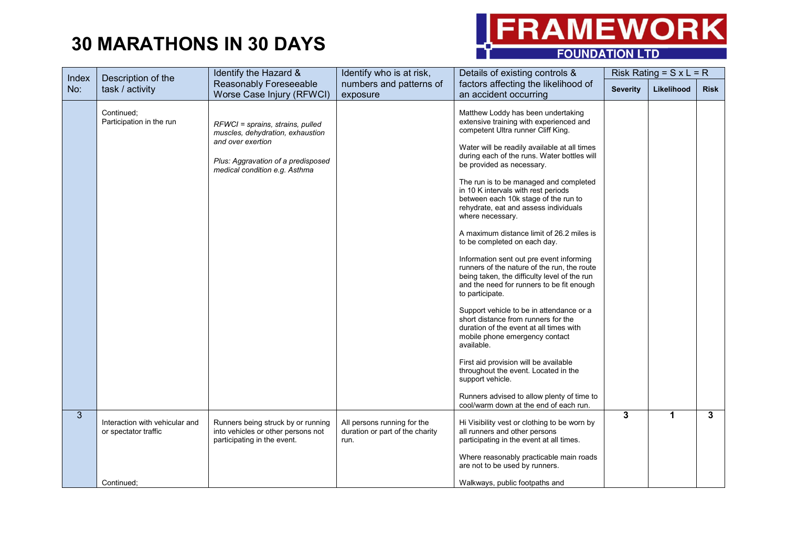

| Index        | Description of the                                     | Identify the Hazard &                                                                                                                                            | Identify who is at risk,                                               | Details of existing controls &                                                                                                                                                                                                                                                                                                                                                                                                                                                                                                                                                                                                                                                                                                                                                                                                                                                                                                                                                                                   |                 | Risk Rating = $S \times L = R$ |              |
|--------------|--------------------------------------------------------|------------------------------------------------------------------------------------------------------------------------------------------------------------------|------------------------------------------------------------------------|------------------------------------------------------------------------------------------------------------------------------------------------------------------------------------------------------------------------------------------------------------------------------------------------------------------------------------------------------------------------------------------------------------------------------------------------------------------------------------------------------------------------------------------------------------------------------------------------------------------------------------------------------------------------------------------------------------------------------------------------------------------------------------------------------------------------------------------------------------------------------------------------------------------------------------------------------------------------------------------------------------------|-----------------|--------------------------------|--------------|
| No:          | task / activity                                        | Reasonably Foreseeable<br>Worse Case Injury (RFWCI)                                                                                                              | numbers and patterns of<br>exposure                                    | factors affecting the likelihood of<br>an accident occurring                                                                                                                                                                                                                                                                                                                                                                                                                                                                                                                                                                                                                                                                                                                                                                                                                                                                                                                                                     | <b>Severity</b> | Likelihood                     | <b>Risk</b>  |
|              | Continued;<br>Participation in the run                 | RFWCI = sprains, strains, pulled<br>muscles, dehydration, exhaustion<br>and over exertion<br>Plus: Aggravation of a predisposed<br>medical condition e.g. Asthma |                                                                        | Matthew Loddy has been undertaking<br>extensive training with experienced and<br>competent Ultra runner Cliff King.<br>Water will be readily available at all times<br>during each of the runs. Water bottles will<br>be provided as necessary.<br>The run is to be managed and completed<br>in 10 K intervals with rest periods<br>between each 10k stage of the run to<br>rehydrate, eat and assess individuals<br>where necessary.<br>A maximum distance limit of 26.2 miles is<br>to be completed on each day.<br>Information sent out pre event informing<br>runners of the nature of the run, the route<br>being taken, the difficulty level of the run<br>and the need for runners to be fit enough<br>to participate.<br>Support vehicle to be in attendance or a<br>short distance from runners for the<br>duration of the event at all times with<br>mobile phone emergency contact<br>available.<br>First aid provision will be available<br>throughout the event. Located in the<br>support vehicle. |                 |                                |              |
|              |                                                        |                                                                                                                                                                  |                                                                        | Runners advised to allow plenty of time to<br>cool/warm down at the end of each run.                                                                                                                                                                                                                                                                                                                                                                                                                                                                                                                                                                                                                                                                                                                                                                                                                                                                                                                             |                 |                                |              |
| $\mathbf{3}$ | Interaction with vehicular and<br>or spectator traffic | Runners being struck by or running<br>into vehicles or other persons not<br>participating in the event.                                                          | All persons running for the<br>duration or part of the charity<br>run. | Hi Visibility vest or clothing to be worn by<br>all runners and other persons<br>participating in the event at all times.<br>Where reasonably practicable main roads                                                                                                                                                                                                                                                                                                                                                                                                                                                                                                                                                                                                                                                                                                                                                                                                                                             | $\mathbf{3}$    | 1                              | $\mathbf{3}$ |
|              | Continued:                                             |                                                                                                                                                                  |                                                                        | are not to be used by runners.<br>Walkways, public footpaths and                                                                                                                                                                                                                                                                                                                                                                                                                                                                                                                                                                                                                                                                                                                                                                                                                                                                                                                                                 |                 |                                |              |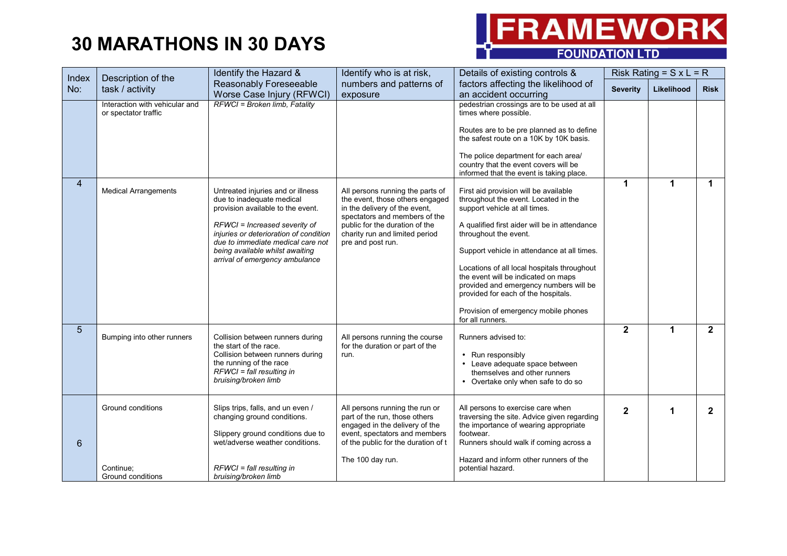

| Index          | Description of the                                     | Identify the Hazard &                                                                                                                                                                                                                                                                    | Identify who is at risk,                                                                                                                                                                                                       | Details of existing controls &                                                                                                                                                                                                                                                                                                                                                                                                                                             |                 | Risk Rating = $S \times L = R$ |              |
|----------------|--------------------------------------------------------|------------------------------------------------------------------------------------------------------------------------------------------------------------------------------------------------------------------------------------------------------------------------------------------|--------------------------------------------------------------------------------------------------------------------------------------------------------------------------------------------------------------------------------|----------------------------------------------------------------------------------------------------------------------------------------------------------------------------------------------------------------------------------------------------------------------------------------------------------------------------------------------------------------------------------------------------------------------------------------------------------------------------|-----------------|--------------------------------|--------------|
| No:            | task / activity                                        | Reasonably Foreseeable<br>Worse Case Injury (RFWCI)                                                                                                                                                                                                                                      | numbers and patterns of<br>exposure                                                                                                                                                                                            | factors affecting the likelihood of<br>an accident occurring                                                                                                                                                                                                                                                                                                                                                                                                               | <b>Severity</b> | Likelihood                     | <b>Risk</b>  |
|                | Interaction with vehicular and<br>or spectator traffic | RFWCI = Broken limb, Fatality                                                                                                                                                                                                                                                            |                                                                                                                                                                                                                                | pedestrian crossings are to be used at all<br>times where possible.<br>Routes are to be pre planned as to define<br>the safest route on a 10K by 10K basis.<br>The police department for each area/<br>country that the event covers will be<br>informed that the event is taking place.                                                                                                                                                                                   |                 |                                |              |
| 4              | <b>Medical Arrangements</b>                            | Untreated injuries and or illness<br>due to inadequate medical<br>provision available to the event.<br>RFWCI = Increased severity of<br>injuries or deterioration of condition<br>due to immediate medical care not<br>being available whilst awaiting<br>arrival of emergency ambulance | All persons running the parts of<br>the event, those others engaged<br>in the delivery of the event,<br>spectators and members of the<br>public for the duration of the<br>charity run and limited period<br>pre and post run. | First aid provision will be available<br>throughout the event. Located in the<br>support vehicle at all times.<br>A qualified first aider will be in attendance<br>throughout the event.<br>Support vehicle in attendance at all times.<br>Locations of all local hospitals throughout<br>the event will be indicated on maps<br>provided and emergency numbers will be<br>provided for each of the hospitals.<br>Provision of emergency mobile phones<br>for all runners. | 1               | 1                              | 1            |
| 5 <sup>5</sup> | Bumping into other runners                             | Collision between runners during<br>the start of the race.<br>Collision between runners during<br>the running of the race<br>$RFWCI = fall resulting in$<br>bruising/broken limb                                                                                                         | All persons running the course<br>for the duration or part of the<br>run.                                                                                                                                                      | Runners advised to:<br>• Run responsibly<br>• Leave adequate space between<br>themselves and other runners<br>Overtake only when safe to do so<br>$\bullet$                                                                                                                                                                                                                                                                                                                | $\mathbf{2}$    | 1.                             | $\mathbf{2}$ |
| 6              | Ground conditions<br>Continue;<br>Ground conditions    | Slips trips, falls, and un even /<br>changing ground conditions.<br>Slippery ground conditions due to<br>wet/adverse weather conditions.<br>$RFWCI = fall resulting in$<br>bruising/broken limb                                                                                          | All persons running the run or<br>part of the run, those others<br>engaged in the delivery of the<br>event, spectators and members<br>of the public for the duration of t<br>The 100 day run.                                  | All persons to exercise care when<br>traversing the site. Advice given regarding<br>the importance of wearing appropriate<br>footwear.<br>Runners should walk if coming across a<br>Hazard and inform other runners of the<br>potential hazard.                                                                                                                                                                                                                            | $\mathbf{2}$    | 1                              | $\mathbf{2}$ |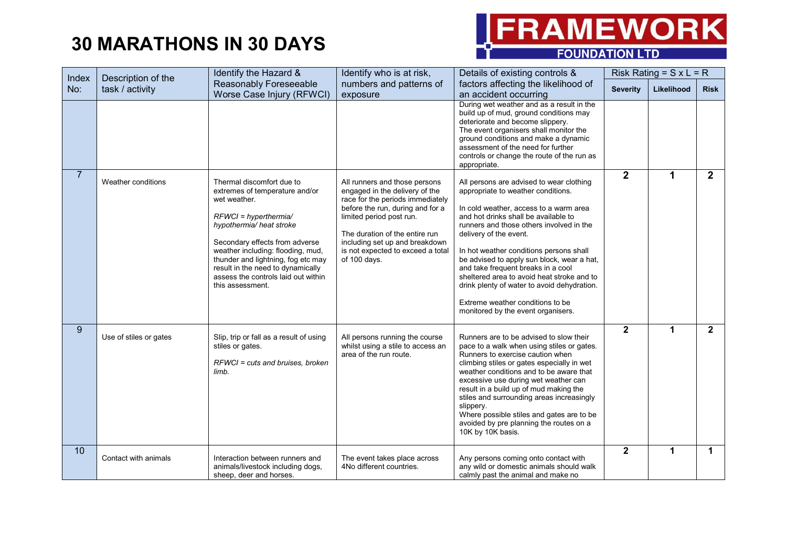

| Index          |                                       | Identify the Hazard &                                                                                                                                                                                                                                                                                                                           | Identify who is at risk,                                                                                                                                                                                                                                                                     | Details of existing controls &                                                                                                                                                                                                                                                                                                                                                                                                                                                                                                               |                 | Risk Rating = $S \times L = R$ |                |
|----------------|---------------------------------------|-------------------------------------------------------------------------------------------------------------------------------------------------------------------------------------------------------------------------------------------------------------------------------------------------------------------------------------------------|----------------------------------------------------------------------------------------------------------------------------------------------------------------------------------------------------------------------------------------------------------------------------------------------|----------------------------------------------------------------------------------------------------------------------------------------------------------------------------------------------------------------------------------------------------------------------------------------------------------------------------------------------------------------------------------------------------------------------------------------------------------------------------------------------------------------------------------------------|-----------------|--------------------------------|----------------|
| No:            | Description of the<br>task / activity | Reasonably Foreseeable<br>Worse Case Injury (RFWCI)                                                                                                                                                                                                                                                                                             | numbers and patterns of<br>exposure                                                                                                                                                                                                                                                          | factors affecting the likelihood of<br>an accident occurring                                                                                                                                                                                                                                                                                                                                                                                                                                                                                 | <b>Severity</b> | Likelihood                     | <b>Risk</b>    |
|                |                                       |                                                                                                                                                                                                                                                                                                                                                 |                                                                                                                                                                                                                                                                                              | During wet weather and as a result in the<br>build up of mud, ground conditions may<br>deteriorate and become slippery.<br>The event organisers shall monitor the<br>ground conditions and make a dynamic<br>assessment of the need for further<br>controls or change the route of the run as<br>appropriate.                                                                                                                                                                                                                                |                 |                                |                |
| $\overline{7}$ | Weather conditions                    | Thermal discomfort due to<br>extremes of temperature and/or<br>wet weather.<br>$RFWCI = hyperthermial$<br>hypothermia/ heat stroke<br>Secondary effects from adverse<br>weather including: flooding, mud,<br>thunder and lightning, fog etc may<br>result in the need to dynamically<br>assess the controls laid out within<br>this assessment. | All runners and those persons<br>engaged in the delivery of the<br>race for the periods immediately<br>before the run, during and for a<br>limited period post run.<br>The duration of the entire run<br>including set up and breakdown<br>is not expected to exceed a total<br>of 100 days. | All persons are advised to wear clothing<br>appropriate to weather conditions.<br>In cold weather, access to a warm area<br>and hot drinks shall be available to<br>runners and those others involved in the<br>delivery of the event.<br>In hot weather conditions persons shall<br>be advised to apply sun block, wear a hat,<br>and take frequent breaks in a cool<br>sheltered area to avoid heat stroke and to<br>drink plenty of water to avoid dehydration.<br>Extreme weather conditions to be<br>monitored by the event organisers. | $\overline{2}$  | 1                              | $\overline{2}$ |
| 9              | Use of stiles or gates                | Slip, trip or fall as a result of using<br>stiles or gates.<br>RFWCI = cuts and bruises, broken<br>limb.                                                                                                                                                                                                                                        | All persons running the course<br>whilst using a stile to access an<br>area of the run route.                                                                                                                                                                                                | Runners are to be advised to slow their<br>pace to a walk when using stiles or gates.<br>Runners to exercise caution when<br>climbing stiles or gates especially in wet<br>weather conditions and to be aware that<br>excessive use during wet weather can<br>result in a build up of mud making the<br>stiles and surrounding areas increasingly<br>slippery.<br>Where possible stiles and gates are to be<br>avoided by pre planning the routes on a<br>10K by 10K basis.                                                                  | $\overline{2}$  | 1                              | $\mathbf{2}$   |
| 10             | Contact with animals                  | Interaction between runners and<br>animals/livestock including dogs,<br>sheep, deer and horses.                                                                                                                                                                                                                                                 | The event takes place across<br>4No different countries.                                                                                                                                                                                                                                     | Any persons coming onto contact with<br>any wild or domestic animals should walk<br>calmly past the animal and make no                                                                                                                                                                                                                                                                                                                                                                                                                       | $\mathbf{2}$    | 1                              | $\mathbf 1$    |